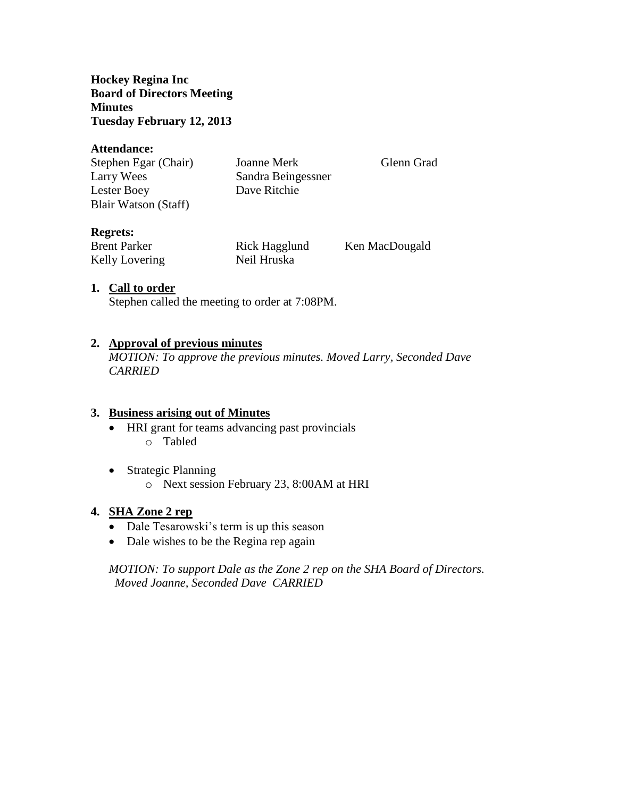**Hockey Regina Inc Board of Directors Meeting Minutes Tuesday February 12, 2013**

#### **Attendance:**

| Stephen Egar (Chair) | Joanne Merk        | Glenn Grad |
|----------------------|--------------------|------------|
| Larry Wees           | Sandra Beingessner |            |
| Lester Boey          | Dave Ritchie       |            |
| Blair Watson (Staff) |                    |            |

# **Regrets:**

| <b>Brent Parker</b> | Rick Hagglund | Ken MacDougald |
|---------------------|---------------|----------------|
| Kelly Lovering      | Neil Hruska   |                |

#### **1. Call to order**

Stephen called the meeting to order at 7:08PM.

#### **2. Approval of previous minutes**

*MOTION: To approve the previous minutes. Moved Larry, Seconded Dave CARRIED*

#### **3. Business arising out of Minutes**

- HRI grant for teams advancing past provincials o Tabled
- Strategic Planning
	- o Next session February 23, 8:00AM at HRI

#### **4. SHA Zone 2 rep**

- Dale Tesarowski's term is up this season
- Dale wishes to be the Regina rep again

*MOTION: To support Dale as the Zone 2 rep on the SHA Board of Directors. Moved Joanne, Seconded Dave CARRIED*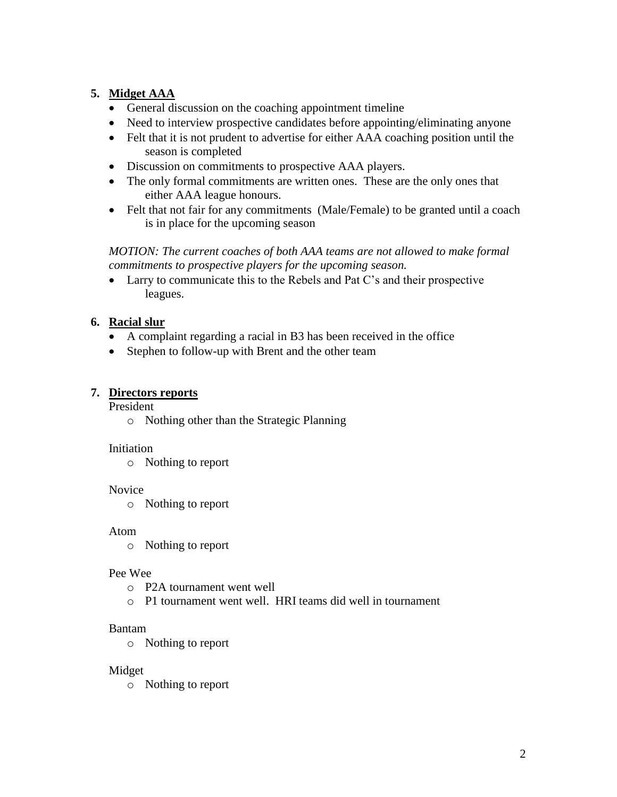# **5. Midget AAA**

- General discussion on the coaching appointment timeline
- Need to interview prospective candidates before appointing/eliminating anyone
- Felt that it is not prudent to advertise for either AAA coaching position until the season is completed
- Discussion on commitments to prospective AAA players.
- The only formal commitments are written ones. These are the only ones that either AAA league honours.
- Felt that not fair for any commitments (Male/Female) to be granted until a coach is in place for the upcoming season

*MOTION: The current coaches of both AAA teams are not allowed to make formal commitments to prospective players for the upcoming season.*

 Larry to communicate this to the Rebels and Pat C's and their prospective leagues.

# **6. Racial slur**

- A complaint regarding a racial in B3 has been received in the office
- Stephen to follow-up with Brent and the other team

# **7. Directors reports**

President

o Nothing other than the Strategic Planning

# Initiation

o Nothing to report

# Novice

o Nothing to report

# Atom

o Nothing to report

# Pee Wee

- o P2A tournament went well
- o P1 tournament went well. HRI teams did well in tournament

# Bantam

o Nothing to report

# Midget

o Nothing to report